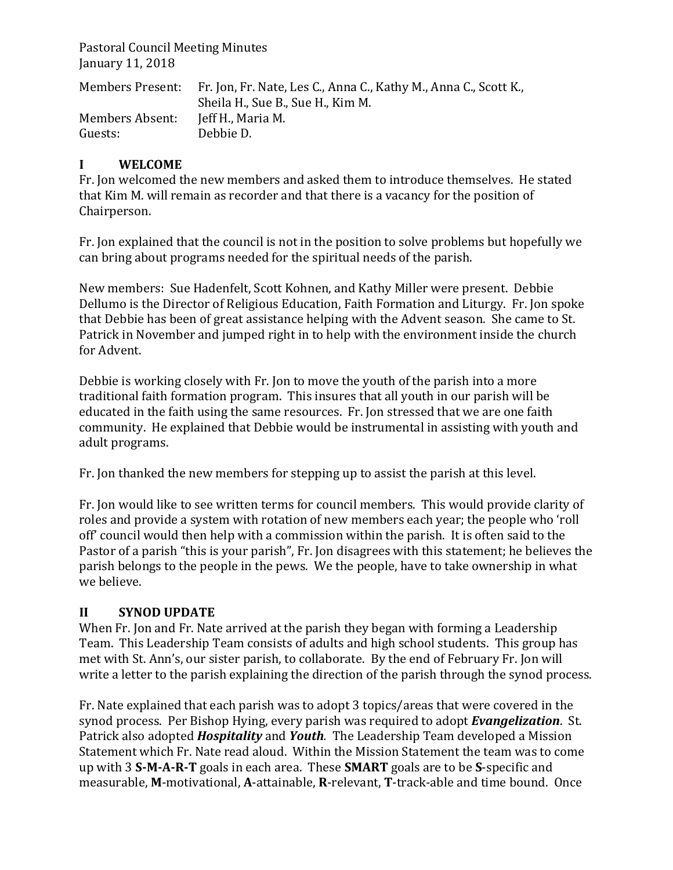Pastoral Council Meeting Minutes January 11, 2018

|                 | Members Present: Fr. Jon, Fr. Nate, Les C., Anna C., Kathy M., Anna C., Scott K., |
|-----------------|-----------------------------------------------------------------------------------|
|                 | Sheila H., Sue B., Sue H., Kim M.                                                 |
| Members Absent: | Jeff H., Maria M.                                                                 |
| Guests:         | Debbie D.                                                                         |

## **I WELCOME**

Fr. Jon welcomed the new members and asked them to introduce themselves. He stated that Kim M. will remain as recorder and that there is a vacancy for the position of Chairperson.

Fr. Jon explained that the council is not in the position to solve problems but hopefully we can bring about programs needed for the spiritual needs of the parish.

New members: Sue Hadenfelt, Scott Kohnen, and Kathy Miller were present. Debbie Dellumo is the Director of Religious Education, Faith Formation and Liturgy. Fr. Ion spoke that Debbie has been of great assistance helping with the Advent season. She came to St. Patrick in November and jumped right in to help with the environment inside the church for Advent.

Debbie is working closely with Fr. Jon to move the youth of the parish into a more traditional faith formation program. This insures that all youth in our parish will be educated in the faith using the same resources. Fr. Jon stressed that we are one faith community. He explained that Debbie would be instrumental in assisting with youth and adult programs.

Fr. Jon thanked the new members for stepping up to assist the parish at this level.

Fr. Jon would like to see written terms for council members. This would provide clarity of roles and provide a system with rotation of new members each year; the people who 'roll off' council would then help with a commission within the parish. It is often said to the Pastor of a parish "this is your parish", Fr. Jon disagrees with this statement; he believes the parish belongs to the people in the pews. We the people, have to take ownership in what we believe.

## **II SYNOD UPDATE**

When Fr. Jon and Fr. Nate arrived at the parish they began with forming a Leadership Team. This Leadership Team consists of adults and high school students. This group has met with St. Ann's, our sister parish, to collaborate. By the end of February Fr. Jon will write a letter to the parish explaining the direction of the parish through the synod process.

Fr. Nate explained that each parish was to adopt 3 topics/areas that were covered in the synod process. Per Bishop Hying, every parish was required to adopt **Evangelization**. St. Patrick also adopted *Hospitality* and *Youth*. The Leadership Team developed a Mission Statement which Fr. Nate read aloud. Within the Mission Statement the team was to come up with 3 S-M-A-R-T goals in each area. These **SMART** goals are to be S-specific and measurable, M-motivational, A-attainable, R-relevant, T-track-able and time bound. Once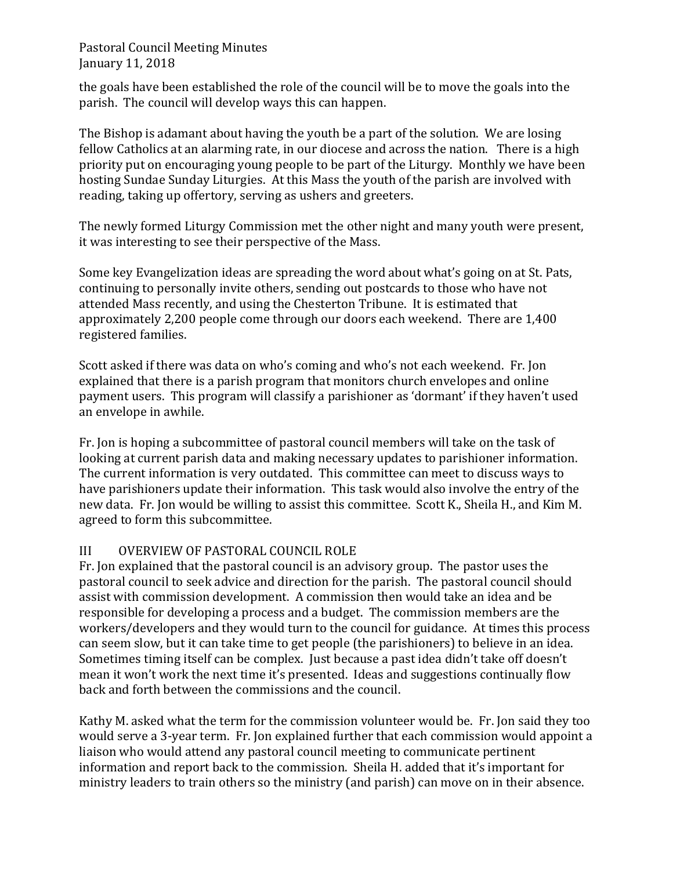Pastoral Council Meeting Minutes January 11, 2018

the goals have been established the role of the council will be to move the goals into the parish. The council will develop ways this can happen.

The Bishop is adamant about having the youth be a part of the solution. We are losing fellow Catholics at an alarming rate, in our diocese and across the nation. There is a high priority put on encouraging young people to be part of the Liturgy. Monthly we have been hosting Sundae Sunday Liturgies. At this Mass the youth of the parish are involved with reading, taking up offertory, serving as ushers and greeters.

The newly formed Liturgy Commission met the other night and many youth were present, it was interesting to see their perspective of the Mass.

Some key Evangelization ideas are spreading the word about what's going on at St. Pats, continuing to personally invite others, sending out postcards to those who have not attended Mass recently, and using the Chesterton Tribune. It is estimated that approximately 2,200 people come through our doors each weekend. There are 1,400 registered families.

Scott asked if there was data on who's coming and who's not each weekend. Fr. Jon explained that there is a parish program that monitors church envelopes and online payment users. This program will classify a parishioner as 'dormant' if they haven't used an envelope in awhile.

Fr. Ion is hoping a subcommittee of pastoral council members will take on the task of looking at current parish data and making necessary updates to parishioner information. The current information is very outdated. This committee can meet to discuss ways to have parishioners update their information. This task would also involve the entry of the new data. Fr. Jon would be willing to assist this committee. Scott K., Sheila H., and Kim M. agreed to form this subcommittee.

## III OVERVIEW OF PASTORAL COUNCIL ROLE

Fr. Jon explained that the pastoral council is an advisory group. The pastor uses the pastoral council to seek advice and direction for the parish. The pastoral council should assist with commission development. A commission then would take an idea and be responsible for developing a process and a budget. The commission members are the workers/developers and they would turn to the council for guidance. At times this process can seem slow, but it can take time to get people (the parishioners) to believe in an idea. Sometimes timing itself can be complex. Just because a past idea didn't take off doesn't mean it won't work the next time it's presented. Ideas and suggestions continually flow back and forth between the commissions and the council.

Kathy M. asked what the term for the commission volunteer would be. Fr. Jon said they too would serve a 3-year term. Fr. Jon explained further that each commission would appoint a liaison who would attend any pastoral council meeting to communicate pertinent information and report back to the commission. Sheila H. added that it's important for ministry leaders to train others so the ministry (and parish) can move on in their absence.